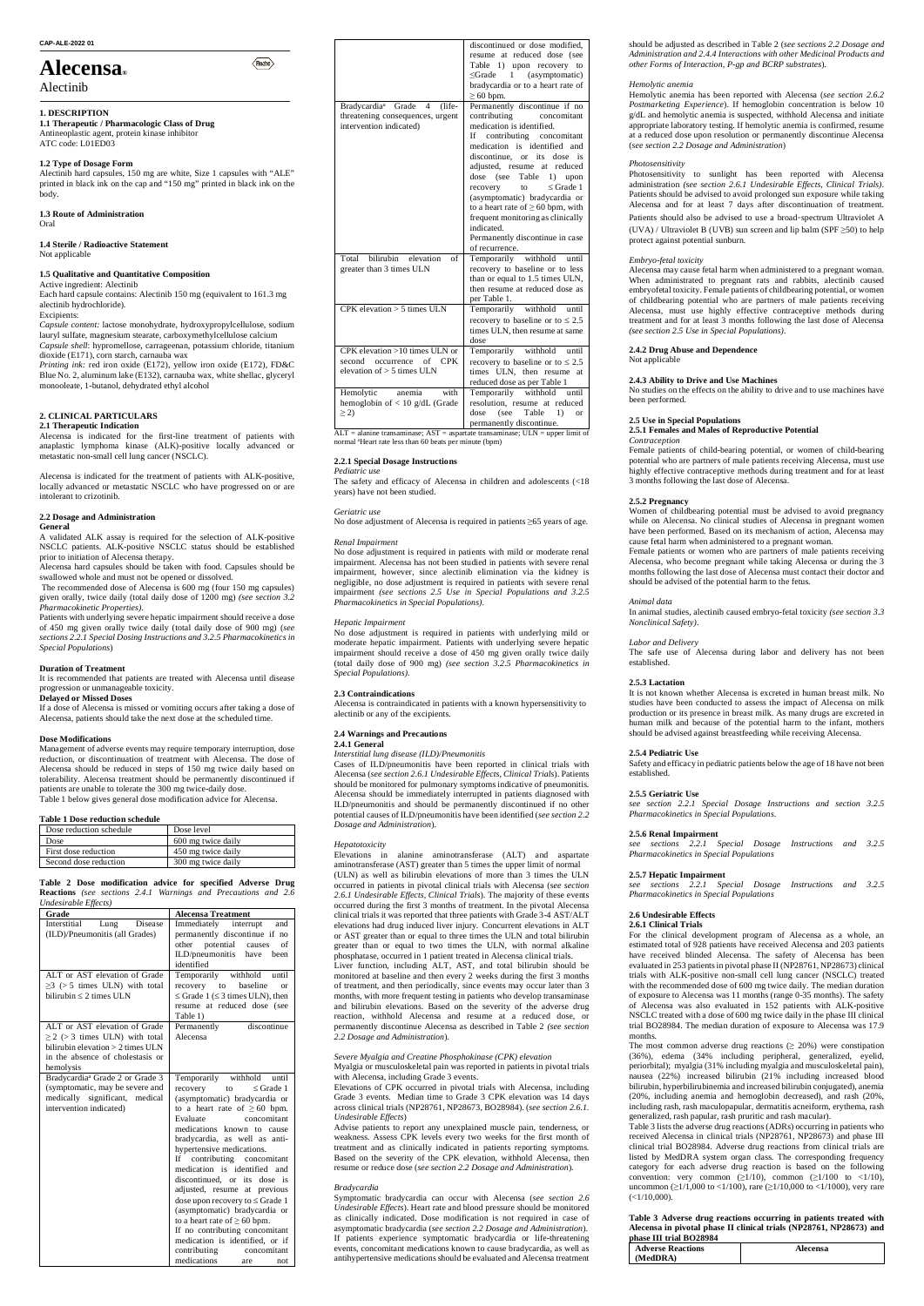#### **CAP-ALE-2022 01**

# **Alecensa®**

## Alectinib

#### **1. DESCRIPTION**

**1.1 Therapeutic / Pharmacologic Class of Drug** Antineoplastic agent, protein kinase inhibitor ATC code: L01ED03

## **1.2 Type of Dosage Form**

Alectinib hard capsules, 150 mg are white, Size 1 capsules with "ALE" printed in black ink on the cap and "150 mg" printed in black ink on the body.

 $\langle$ Roche $\rangle$ 

#### **1.3 Route of Administration** Oral

**1.4 Sterile / Radioactive Statement** Not applicable

#### **1.5 Qualitative and Quantitative Composition**

Active ingredient: Alectinib Each hard capsule contains: Alectinib 150 mg (equivalent to 161.3 mg alectinib hydrochloride).

#### Excipients:

*Capsule content:* lactose monohydrate, hydroxypropylcellulose, sodium lauryl sulfate, magnesium stearate, carboxymethylcellulose calcium *Capsule shell*: hypromellose, carrageenan, potassium chloride, titanium dioxide (E171), corn starch, carnauba wax

*Printing ink:* red iron oxide (E172), yellow iron oxide (E172), FD&C Blue No. 2, aluminum lake (E132), carnauba wax, white shellac, glyceryl monooleate, 1-butanol, dehydrated ethyl alcohol

#### **2. CLINICAL PARTICULARS 2.1 Therapeutic Indication**

Alecensa is indicated for the first-line treatment of patients with anaplastic lymphoma kinase (ALK)-positive locally advanced or metastatic non-small cell lung cancer (NSCLC).

Alecensa is indicated for the treatment of patients with ALK-positive, locally advanced or metastatic NSCLC who have progressed on or are intolerant to crizotinib.

## **2.2 Dosage and Administration**

#### **General**

A validated ALK assay is required for the selection of ALK-positive NSCLC patients. ALK-positive NSCLC status should be established prior to initiation of Alecensa therapy.

Alecensa hard capsules should be taken with food. Capsules should be swallowed whole and must not be opened or dissolved. The recommended dose of Alecensa is 600 mg (four 150 mg capsules)

given orally, twice daily (total daily dose of 1200 mg) *(see section 3.2 Pharmacokinetic Properties)*.

Patients with underlying severe hepatic impairment should receive a dose of 450 mg given orally twice daily (total daily dose of 900 mg) (*see sections 2.2.1 Special Dosing Instructions and 3.2.5 Pharmacokinetics in Special Populations*)

#### **Duration of Treatment**

It is recommended that patients are treated with Alecensa until disease progression or unmanageable toxicity. **Delayed or Missed Doses**

If a dose of Alecensa is missed or vomiting occurs after taking a dose of Alecensa, patients should take the next dose at the scheduled time.

#### **Dose Modifications**

Management of adverse events may require temporary interruption, dose reduction, or discontinuation of treatment with Alecensa. The dose of Alecensa should be reduced in steps of 150 mg twice daily based on tolerability. Alecensa treatment should be permanently discontinued if patients are unable to tolerate the 300 mg twice-daily dose. Table 1 below gives general dose modification advice for Alecensa.

ALT = alanine transaminase; AST = aspartate transaminase; ULN = upper limit of normal <sup>a</sup>Heart rate less than 60 beats per minute (bpm)

#### **Table 1 Dose reduction schedule**

| Dose reduction schedule | Dose level         |
|-------------------------|--------------------|
| Dose                    | 600 mg twice daily |
| First dose reduction    | 450 mg twice daily |
| Second dose reduction   | 300 mg twice daily |

**Table 2 Dose modification advice for specified Adverse Drug Reactions** *(see sections 2.4.1 Warnings and Precautions and 2.6*

| Undesirable Effects)                        |                                                                   |
|---------------------------------------------|-------------------------------------------------------------------|
| Grade                                       | <b>Alecensa Treatment</b>                                         |
| Interstitial<br>Lung<br>Disease             | Immediately<br>interrupt<br>and                                   |
| (ILD)/Pneumonitis (all Grades)              | permanently discontinue if no                                     |
|                                             | other<br>potential<br>of<br>causes                                |
|                                             | ILD/pneumonitis<br>have<br>been                                   |
|                                             | identified                                                        |
| ALT or AST elevation of Grade               | Temporarily withhold<br>until                                     |
| $\geq$ 3 (> 5 times ULN) with total         | recovery to<br>baseline<br><sub>or</sub>                          |
| bilirubin $\leq 2$ times ULN                | $\leq$ Grade 1 ( $\leq$ 3 times ULN), then                        |
|                                             | resume at reduced dose (see                                       |
|                                             | Table 1)                                                          |
| ALT or AST elevation of Grade               | discontinue<br>Permanently                                        |
| $\geq$ 2 (> 3 times ULN) with total         | Alecensa                                                          |
| bilirubin elevation $> 2$ times ULN         |                                                                   |
| in the absence of cholestasis or            |                                                                   |
| hemolysis                                   |                                                                   |
| Bradycardia <sup>ª</sup> Grade 2 or Grade 3 | Temporarily withhold<br>until                                     |
| (symptomatic, may be severe and             | recovery<br>$\leq$ Grade 1<br>to                                  |
| medically significant, medical              | (asymptomatic) bradycardia or                                     |
| intervention indicated)                     | to a heart rate of $\geq 60$ bpm.                                 |
|                                             | Evaluate<br>concomitant                                           |
|                                             | medications known to cause                                        |
|                                             | bradycardia, as well as anti-                                     |
|                                             | hypertensive medications.                                         |
|                                             | If contributing<br>concomitant                                    |
|                                             | medication is identified and                                      |
|                                             | discontinued, or its dose is                                      |
|                                             | adjusted, resume at previous                                      |
|                                             | dose upon recovery to ≤ Grade 1                                   |
|                                             | (asymptomatic) bradycardia or                                     |
|                                             | to a heart rate of $\geq 60$ bpm.                                 |
|                                             |                                                                   |
|                                             | If no contributing concomitant<br>medication is identified, or if |
|                                             | contributing                                                      |
|                                             | concomitant                                                       |
|                                             | medications<br>are<br>not                                         |

|                                                                                                                             | discontinued or dose modified,<br>resume at reduced dose (see<br>Table 1) upon recovery to<br>(asymptomatic)<br><grade<br><sup>1</sup><br/>bradycardia or to a heart rate of<br/><math>\geq 60</math> bpm.</grade<br>                                                                                                                                                                                                                                                                  |
|-----------------------------------------------------------------------------------------------------------------------------|----------------------------------------------------------------------------------------------------------------------------------------------------------------------------------------------------------------------------------------------------------------------------------------------------------------------------------------------------------------------------------------------------------------------------------------------------------------------------------------|
| Bradycardia <sup>a</sup> Grade<br>$\overline{4}$<br>$(life-$<br>threatening consequences, urgent<br>intervention indicated) | Permanently discontinue if no<br>contributing concomitant<br>medication is identified.<br>contributing concomitant<br>If —<br>medication is identified and<br>discontinue, or its dose is<br>adjusted, resume at reduced<br>dose (see<br>Table<br>1)<br>upon<br>$\leq$ Grade 1<br>recovery<br>to to<br>(asymptomatic) bradycardia or<br>to a heart rate of $\geq 60$ bpm, with<br>frequent monitoring as clinically<br>indicated.<br>Permanently discontinue in case<br>of recurrence. |
| bilirubin<br>elevation<br>of<br>Total<br>greater than 3 times ULN                                                           | Temporarily withhold<br>until<br>recovery to baseline or to less<br>than or equal to 1.5 times ULN,<br>then resume at reduced dose as<br>per Table 1.                                                                                                                                                                                                                                                                                                                                  |
| $CPK$ elevation $> 5$ times ULN                                                                                             | Temporarily withhold until<br>recovery to baseline or to $\leq 2.5$<br>times ULN, then resume at same<br>dose                                                                                                                                                                                                                                                                                                                                                                          |
| $CPK$ elevation $>10$ times ULN or<br>of<br>second<br><b>CPK</b><br>occurrence<br>elevation of $> 5$ times ULN              | Temporarily withhold until<br>recovery to baseline or to $\leq 2.5$<br>times ULN, then resume<br>at<br>reduced dose as per Table 1                                                                                                                                                                                                                                                                                                                                                     |
| with<br>Hemolytic<br>anemia<br>hemoglobin of $< 10$ g/dL (Grade<br>$\geq$ 2)                                                | Temporarily withhold until<br>resolution, resume at reduced<br>Table<br>dose<br>(see<br>1)<br><sub>or</sub><br>permanently discontinue.                                                                                                                                                                                                                                                                                                                                                |

#### **2.2.1 Special Dosage Instructions** *Pediatric use*

The safety and efficacy of Alecensa in children and adolescents (<18 years) have not been studied.

#### *Geriatric use*

No dose adjustment of Alecensa is required in patients ≥65 years of age.

#### *Renal Impairment*

No dose adjustment is required in patients with mild or moderate renal impairment. Alecensa has not been studied in patients with severe renal impairment, however, since alectinib elimination via the kidney is negligible, no dose adjustment is required in patients with severe renal impairment *(see sections 2.5 Use in Special Populations and 3.2.5 Pharmacokinetics in Special Populations)*.

> The safe use of Alecensa during labor and delivery has not been established.

#### *Hepatic Impairment*

No dose adjustment is required in patients with underlying mild or moderate hepatic impairment. Patients with underlying severe hepatic impairment should receive a dose of 450 mg given orally twice daily (total daily dose of 900 mg) *(see section 3.2.5 Pharmacokinetics in Special Populations)*.

## **2.3 Contraindications**

For the clinical development program of Alecensa as a whole, an estimated total of 928 patients have received Alecensa and 203 patients have received blinded Alecensa. The safety of Alecensa has been evaluated in 253 patients in pivotal phase II (NP28761, NP28673) clinical trials with ALK-positive non-small cell lung cancer (NSCLC) treated with the recommended dose of 600 mg twice daily. The median duration of exposure to Alecensa was 11 months (range 0-35 months). The safety of Alecensa was also evaluated in 152 patients with ALK-positive NSCLC treated with a dose of 600 mg twice daily in the phase III clinical trial BO28984. The median duration of exposure to Alecensa was 17.9 months. The most common adverse drug reactions  $(≥ 20%)$  were constipation (36%), edema (34% including peripheral, generalized, eyelid, periorbital); myalgia (31% including myalgia and musculoskeletal pain), nausea (22%) increased bilirubin (21% including increased blood bilirubin, hyperbilirubinemia and increased bilirubin conjugated), anemia (20%, including anemia and hemoglobin decreased), and rash (20%, including rash, rash maculopapular, dermatitis acneiform, erythema, rash generalized, rash papular, rash pruritic and rash macular). Table 3 lists the adverse drug reactions (ADRs) occurring in patients who received Alecensa in clinical trials (NP28761, NP28673) and phase III clinical trial BO28984. Adverse drug reactions from clinical trials are listed by MedDRA system organ class. The corresponding frequency category for each adverse drug reaction is based on the following convention: very common  $(\geq 1/10)$ , common  $(\geq 1/100$  to  $\lt 1/10)$ , uncommon ( $\geq$ 1/1,000 to <1/100), rare ( $\geq$ 1/10,000 to <1/1000), very rare  $(\leq 1/10,000)$ 

Alecensa is contraindicated in patients with a known hypersensitivity to alectinib or any of the excipients.

#### **2.4 Warnings and Precautions**

#### **2.4.1 General**

## *Interstitial lung disease (ILD)/Pneumonitis*

Cases of ILD/pneumonitis have been reported in clinical trials with Alecensa (*see section 2.6.1 Undesirable Effects, Clinical Trials*). Patients should be monitored for pulmonary symptoms indicative of pneumonitis. Alecensa should be immediately interrupted in patients diagnosed with ILD/pneumonitis and should be permanently discontinued if no other potential causes of ILD/pneumonitis have been identified (*see section 2.2 Dosage and Administration*).

#### *Hepatotoxicity*

Elevations in alanine aminotransferase (ALT) and aspartate aminotransferase (AST) greater than 5 times the upper limit of normal (ULN) as well as bilirubin elevations of more than 3 times the ULN occurred in patients in pivotal clinical trials with Alecensa (s*ee section 2.6.1 Undesirable Effects, Clinical Trials*). The majority of these events occurred during the first 3 months of treatment. In the pivotal Alecensa clinical trials it was reported that three patients with Grade 3-4 AST/ALT elevations had drug induced liver injury. Concurrent elevations in ALT or AST greater than or equal to three times the ULN and total bilirubin greater than or equal to two times the ULN, with normal alkaline phosphatase, occurred in 1 patient treated in Alecensa clinical trials. Liver function, including ALT, AST, and total bilirubin should be

monitored at baseline and then every 2 weeks during the first 3 months of treatment, and then periodically, since events may occur later than 3 months, with more frequent testing in patients who develop transaminase and bilirubin elevations. Based on the severity of the adverse drug reaction, withhold Alecensa and resume at a reduced dose, or permanently discontinue Alecensa as described in Table 2 *(see section 2.2 Dosage and Administration*).

*Severe Myalgia and Creatine Phosphokinase (CPK) elevation* Myalgia or musculoskeletal pain was reported in patients in pivotal trials with Alecensa, including Grade 3 events.

Elevations of CPK occurred in pivotal trials with Alecensa, including Grade 3 events. Median time to Grade 3 CPK elevation was 14 days across clinical trials (NP28761, NP28673, BO28984). (*see section 2.6.1. Undesirable Effects*)

Advise patients to report any unexplained muscle pain, tenderness, or weakness. Assess CPK levels every two weeks for the first month of treatment and as clinically indicated in patients reporting symptoms. Based on the severity of the CPK elevation, withhold Alecensa, then resume or reduce dose (*see section 2.2 Dosage and Administration*)*.*

#### *Bradycardia*

Symptomatic bradycardia can occur with Alecensa (*see section 2.6 Undesirable Effects*). Heart rate and blood pressure should be monitored as clinically indicated. Dose modification is not required in case of asymptomatic bradycardia (*see section 2.2 Dosage and Administration*). If patients experience symptomatic bradycardia or life-threatening events, concomitant medications known to cause bradycardia, as well as antihypertensive medications should be evaluated and Alecensa treatment should be adjusted as described in Table 2 (*see sections 2.2 Dosage and Administration and 2.4.4 Interactions with other Medicinal Products and other Forms of Interaction, P-gp and BCRP substrates*)*.*

#### *Hemolytic anemia*

Hemolytic anemia has been reported with Alecensa (*see section 2.6.2 Postmarketing Experience*). If hemoglobin concentration is below 10 g/dL and hemolytic anemia is suspected, withhold Alecensa and initiate appropriate laboratory testing. If hemolytic anemia is confirmed, resume at a reduced dose upon resolution or permanently discontinue Alecensa (*see section 2.2 Dosage and Administration*)

#### *Photosensitivity*

Photosensitivity to sunlight has been reported with Alecensa administration *(see section 2.6.1 Undesirable Effects, Clinical Trials)*. Patients should be advised to avoid prolonged sun exposure while taking Alecensa and for at least 7 days after discontinuation of treatment.

Patients should also be advised to use a broad‑spectrum Ultraviolet A (UVA) / Ultraviolet B (UVB) sun screen and lip balm (SPF  $\geq$ 50) to help protect against potential sunburn.

#### *Embryo-fetal toxicity*

Alecensa may cause fetal harm when administered to a pregnant woman. When administrated to pregnant rats and rabbits, alectinib caused embryofetal toxicity. Female patients of childbearing potential, or women of childbearing potential who are partners of male patients receiving Alecensa, must use highly effective contraceptive methods during treatment and for at least 3 months following the last dose of Alecensa *(see section 2.5 Use in Special Populations)*.

## **2.4.2 Drug Abuse and Dependence**

Not applicable

#### **2.4.3 Ability to Drive and Use Machines**

No studies on the effects on the ability to drive and to use machines have been performed.

### **2.5 Use in Special Populations**

#### **2.5.1 Females and Males of Reproductive Potential** *Contraception*

Female patients of child-bearing potential, or women of child-bearing potential who are partners of male patients receiving Alecensa, must use highly effective contraceptive methods during treatment and for at least 3 months following the last dose of Alecensa.

#### **2.5.2 Pregnancy**

Women of childbearing potential must be advised to avoid pregnancy while on Alecensa. No clinical studies of Alecensa in pregnant women have been performed. Based on its mechanism of action, Alecensa may cause fetal harm when administered to a pregnant woman.

Female patients or women who are partners of male patients receiving Alecensa, who become pregnant while taking Alecensa or during the 3 months following the last dose of Alecensa must contact their doctor and should be advised of the potential harm to the fetus.

#### *Animal data*

In animal studies, alectinib caused embryo-fetal toxicity *(see section 3.3 Nonclinical Safety)*.

#### *Labor and Delivery*

#### **2.5.3 Lactation**

It is not known whether Alecensa is excreted in human breast milk. No studies have been conducted to assess the impact of Alecensa on milk production or its presence in breast milk. As many drugs are excreted in human milk and because of the potential harm to the infant, mothers should be advised against breastfeeding while receiving Alecensa.

#### **2.5.4 Pediatric Use**

Safety and efficacy in pediatric patients below the age of 18 have not been established.

#### **2.5.5 Geriatric Use**

*see section 2.2.1 Special Dosage Instructions and section 3.2.5 Pharmacokinetics in Special Populations*.

### **2.5.6 Renal Impairment**

*see sections 2.2.1 Special Dosage Instructions and 3.2.5 Pharmacokinetics in Special Populations*

#### **2.5.7 Hepatic Impairment**

*see sections 2.2.1 Special Dosage Instructions and 3.2.5 Pharmacokinetics in Special Populations*

## **2.6 Undesirable Effects**

**2.6.1 Clinical Trials**

#### **Table 3 Adverse drug reactions occurring in patients treated with Alecensa in pivotal phase II clinical trials (NP28761, NP28673) and phase III trial BO28984**

| <b>Adverse Reactions</b> | Alecensa |
|--------------------------|----------|
| (MedDRA)                 |          |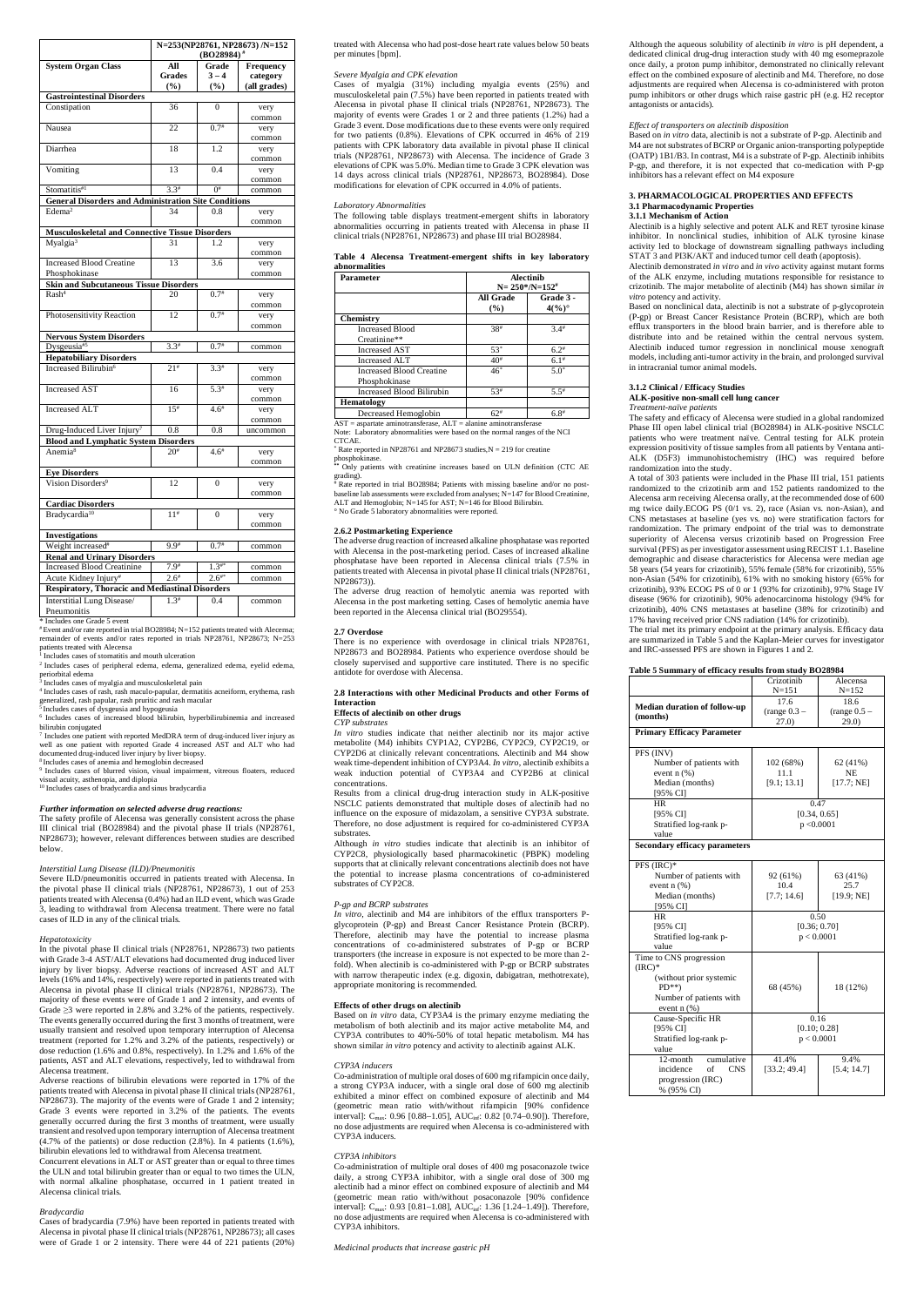|                                                             | N=253(NP28761, NP28673) /N=152<br>$(BO28984)$ <sup>#</sup> |              |              |  |
|-------------------------------------------------------------|------------------------------------------------------------|--------------|--------------|--|
| <b>System Organ Class</b>                                   | All                                                        | Grade        | Frequency    |  |
|                                                             | <b>Grades</b>                                              | $3 - 4$      | category     |  |
|                                                             | $($ %)                                                     | (%)          | (all grades) |  |
| <b>Gastrointestinal Disorders</b>                           |                                                            |              |              |  |
| Constipation                                                | 36                                                         | $\Omega$     | very         |  |
|                                                             |                                                            |              | common       |  |
| Nausea                                                      | 22                                                         | $0.7^{*}$    | very         |  |
|                                                             |                                                            |              | common       |  |
| Diarrhea                                                    | 18                                                         | 1.2          | very         |  |
|                                                             |                                                            |              | common       |  |
| Vomiting                                                    | 13                                                         | 0.4          | very         |  |
|                                                             |                                                            |              | common       |  |
| Stomatitis#1                                                | $3.3*$                                                     | $0^{\#}$     | common       |  |
| <b>General Disorders and Administration Site Conditions</b> |                                                            |              |              |  |
| Edema <sup>2</sup>                                          | 34                                                         | 0.8          | very         |  |
|                                                             |                                                            |              | common       |  |
| <b>Musculoskeletal and Connective Tissue Disorders</b>      |                                                            |              |              |  |
| Myalgia <sup>3</sup>                                        | 31                                                         | 1.2          | very         |  |
|                                                             |                                                            |              | common       |  |
| <b>Increased Blood Creatine</b>                             | 13                                                         | 3.6          | very         |  |
| Phosphokinase                                               |                                                            |              | common       |  |
| <b>Skin and Subcutaneous Tissue Disorders</b>               |                                                            |              |              |  |
| Rash <sup>4</sup>                                           | 20                                                         | $0.7^{#}$    | very         |  |
|                                                             |                                                            |              | common       |  |
| Photosensitivity Reaction                                   | 12                                                         | $0.7^{*}$    | very         |  |
|                                                             |                                                            |              | common       |  |
| <b>Nervous System Disorders</b>                             |                                                            |              |              |  |
| Dysgeusia#5                                                 | $3.3*$                                                     | $0.7^{*}$    | common       |  |
| <b>Hepatobiliary Disorders</b>                              |                                                            |              |              |  |
| Increased Bilirubin <sup>6</sup>                            | $21^{#}$                                                   | $3.3*$       | very         |  |
|                                                             |                                                            |              | common       |  |
| <b>Increased AST</b>                                        | 16                                                         | $5.3*$       | very         |  |
|                                                             |                                                            |              | common       |  |
| <b>Increased ALT</b>                                        | $15^{#}$                                                   | $4.6*$       | very         |  |
|                                                             |                                                            |              | common       |  |
| Drug-Induced Liver Injury <sup>7</sup>                      | 0.8                                                        | 0.8          | uncommon     |  |
| <b>Blood and Lymphatic System Disorders</b>                 |                                                            |              |              |  |
| Anemia <sup>8</sup>                                         | $20^{\#}$                                                  | $4.6^{\#}$   | very         |  |
|                                                             |                                                            |              | common       |  |
| <b>Eye Disorders</b>                                        |                                                            |              |              |  |
| Vision Disorders <sup>9</sup>                               | 12                                                         | $\mathbf{0}$ | very         |  |
|                                                             |                                                            |              | common       |  |
| <b>Cardiac Disorders</b>                                    |                                                            |              |              |  |
| Bradycardia <sup>10</sup>                                   | $11^{#}$                                                   | 0            | very         |  |
|                                                             |                                                            |              | common       |  |
| <b>Investigations</b>                                       |                                                            |              |              |  |
| Weight increased <sup>#</sup>                               | $9.9*$                                                     | $0.7^{*}$    | common       |  |
| <b>Renal and Urinary Disorders</b>                          |                                                            |              |              |  |
| <b>Increased Blood Creatinine</b>                           | $7.9^{\#}$                                                 | $1.3^{**}$   | common       |  |
| Acute Kidney Injury#                                        | $2.6*$                                                     | $2.6^{**}$   | common       |  |
| <b>Respiratory, Thoracic and Mediastinal Disorders</b>      |                                                            |              |              |  |
| Interstitial Lung Disease/                                  | $1.3^{#}$                                                  | 0.4          | common       |  |
| Pneumonitis                                                 |                                                            |              |              |  |
|                                                             |                                                            |              |              |  |

<sup>7</sup> Includes one patient with reported MedDRA term of drug-induced liver injury as well as one patient with reported Grade 4 increased AST and ALT who had documented drug-induced liver injury by liver biopsy.

<sup>9</sup> Includes cases of blurred vision, visual impairment, vitreous floaters, reduced visual acuity, asthenopia, and diplopia

\* Includes one Grade 5 event

# Event and/or rate reported in trial BO28984; N=152 patients treated with Alecensa; remainder of events and/or rates reported in trials NP28761, NP28673; N=253

patients treated with Alecensa 1 Includes cases of stomatitis and mouth ulceration

2 Includes cases of peripheral edema, edema, generalized edema, eyelid edema,

periorbital edema 3 Includes cases of myalgia and musculoskeletal pain

4 Includes cases of rash, rash maculo-papular, dermatitis acneiform, erythema, rash

generalized, rash papular, rash pruritic and rash macular 5 Includes cases of dysgeusia and hypogeusia 6 Includes cases of increased blood bilirubin, hyperbilirubinemia and increased bilirubin conjugated

8 Includes cases of anemia and hemoglobin decreased

<sup>10</sup> Includes cases of bradycardia and sinus bradycardia

### *Further information on selected adverse drug reactions:*

The safety profile of Alecensa was generally consistent across the phase III clinical trial (BO28984) and the pivotal phase II trials (NP28761, NP28673); however, relevant differences between studies are described below.

## *Interstitial Lung Disease (ILD)/Pneumonitis*

Severe ILD/pneumonitis occurred in patients treated with Alecensa. In the pivotal phase II clinical trials (NP28761, NP28673), 1 out of 253 patients treated with Alecensa (0.4%) had an ILD event, which was Grade 3, leading to withdrawal from Alecensa treatment. There were no fatal cases of ILD in any of the clinical trials.

### *Hepatotoxicity*

In the pivotal phase II clinical trials (NP28761, NP28673) two patients with Grade 3-4 AST/ALT elevations had documented drug induced liver injury by liver biopsy. Adverse reactions of increased AST and ALT levels (16% and 14%, respectively) were reported in patients treated with

 $*$  Rate reported in NP28761 and NP28673 studies, N = 219 for creatine phosphokinase.

 $*$  Rate reported in trial BO28984; Patients with missing baseline and/or no postbaseline lab assessments were excluded from analyses; N=147 for Blood Creatinine, ALT and Hemoglobin; N=145 for AST; N=146 for Blood Bilirubin. ° No Grade 5 laboratory abnormalities were reported.

Alecensa in pivotal phase II clinical trials (NP28761, NP28673). The majority of these events were of Grade 1 and 2 intensity, and events of Grade ≥3 were reported in 2.8% and 3.2% of the patients, respectively. The events generally occurred during the first 3 months of treatment, were usually transient and resolved upon temporary interruption of Alecensa treatment (reported for 1.2% and 3.2% of the patients, respectively) or dose reduction (1.6% and 0.8%, respectively). In 1.2% and 1.6% of the patients, AST and ALT elevations, respectively, led to withdrawal from Alecensa treatment.

Adverse reactions of bilirubin elevations were reported in 17% of the patients treated with Alecensa in pivotal phase II clinical trials (NP28761, NP28673). The majority of the events were of Grade 1 and 2 intensity; Grade 3 events were reported in 3.2% of the patients. The events generally occurred during the first 3 months of treatment, were usually transient and resolved upon temporary interruption of Alecensa treatment  $(4.7\% \text{ of the patients})$  or dose reduction  $(2.8\%)$ . In 4 patients  $(1.6\%),$ bilirubin elevations led to withdrawal from Alecensa treatment. Concurrent elevations in ALT or AST greater than or equal to three times the ULN and total bilirubin greater than or equal to two times the ULN, with normal alkaline phosphatase, occurred in 1 patient treated in Alecensa clinical trials.

#### *Bradycardia*

Cases of bradycardia (7.9%) have been reported in patients treated with Alecensa in pivotal phase II clinical trials (NP28761, NP28673); all cases were of Grade 1 or 2 intensity. There were 44 of 221 patients (20%)

treated with Alecensa who had post-dose heart rate values below 50 beats per minutes [bpm].

## *Severe Myalgia and CPK elevation*

Cases of myalgia (31%) including myalgia events (25%) and musculoskeletal pain (7.5%) have been reported in patients treated with Alecensa in pivotal phase II clinical trials (NP28761, NP28673). The majority of events were Grades 1 or 2 and three patients (1.2%) had a Grade 3 event. Dose modifications due to these events were only required for two patients (0.8%). Elevations of CPK occurred in 46% of 219 patients with CPK laboratory data available in pivotal phase II clinical trials (NP28761, NP28673) with Alecensa. The incidence of Grade 3 elevations of CPK was 5.0%. Median time to Grade 3 CPK elevation was 14 days across clinical trials (NP28761, NP28673, BO28984). Dose modifications for elevation of CPK occurred in 4.0% of patients.

#### *Laboratory Abnormalities*

The following table displays treatment-emergent shifts in laboratory abnormalities occurring in patients treated with Alecensa in phase II clinical trials (NP28761, NP28673) and phase III trial BO28984.

|               | Table 4 Alecensa Treatment-emergent shifts in key laboratory |  |  |
|---------------|--------------------------------------------------------------|--|--|
| abnormalities |                                                              |  |  |

| <b>Parameter</b>                          | <b>Alectinib</b><br>$N = 250^{\ast}/N = 152^{\#}$ |                             |  |
|-------------------------------------------|---------------------------------------------------|-----------------------------|--|
|                                           | All Grade<br>$($ %)                               | Grade 3 -<br>$4(%)^{\circ}$ |  |
| <b>Chemistry</b>                          |                                                   |                             |  |
| <b>Increased Blood</b><br>Creatinine**    | 38#                                               | 3.4#                        |  |
| <b>Increased AST</b>                      | $53*$                                             | $6.2*$                      |  |
| <b>Increased ALT</b>                      | $40*$                                             | $6.1$ <sup>#</sup>          |  |
| Increased Blood Creatine<br>Phosphokinase | $46*$                                             | $5.0*$                      |  |
| Increased Blood Bilirubin                 | $53*$                                             | $5.5$ <sup>#</sup>          |  |
| Hematology                                |                                                   |                             |  |
| Decreased Hemoglobin                      | $62*$                                             | $6.8$ <sup>#</sup>          |  |

AST = aspartate aminotransferase, ALT = alanine aminotransferase Note: Laboratory abnormalities were based on the normal ranges of the NCI CTCAE.

**\*\*** Only patients with creatinine increases based on ULN definition (CTC AE grading).

## **2.6.2 Postmarketing Experience**

The adverse drug reaction of increased alkaline phosphatase was reported with Alecensa in the post-marketing period. Cases of increased alkaline phosphatase have been reported in Alecensa clinical trials (7.5% in patients treated with Alecensa in pivotal phase II clinical trials (NP28761, NP28673)).

The adverse drug reaction of hemolytic anemia was reported with Alecensa in the post marketing setting. Cases of hemolytic anemia have been reported in the Alecensa clinical trial (BO29554).

#### **2.7 Overdose**

There is no experience with overdosage in clinical trials NP28761, NP28673 and BO28984. Patients who experience overdose should be closely supervised and supportive care instituted. There is no specific antidote for overdose with Alecensa.

### **2.8 Interactions with other Medicinal Products and other Forms of Interaction**

### **Effects of alectinib on other drugs**

*CYP substrates*

*In vitro* studies indicate that neither alectinib nor its major active metabolite (M4) inhibits CYP1A2, CYP2B6, CYP2C9, CYP2C19, or CYP2D6 at clinically relevant concentrations. Alectinib and M4 show weak time-dependent inhibition of CYP3A4. *In vitro*, alectinib exhibits a weak induction potential of CYP3A4 and CYP2B6 at clinical concentrations.

Results from a clinical drug-drug interaction study in ALK-positive NSCLC patients demonstrated that multiple doses of alectinib had no influence on the exposure of midazolam, a sensitive CYP3A substrate. Therefore, no dose adjustment is required for co-administered CYP3A substrates.

Although *in vitro* studies indicate that alectinib is an inhibitor of CYP2C8, physiologically based pharmacokinetic (PBPK) modeling supports that at clinically relevant concentrations alectinib does not have the potential to increase plasma concentrations of co-administered substrates of CYP2C8.

## *P-gp and BCRP substrates*

*In vitro*, alectinib and M4 are inhibitors of the efflux transporters Pglycoprotein (P-gp) and Breast Cancer Resistance Protein (BCRP). Therefore, alectinib may have the potential to increase plasma concentrations of co-administered substrates of P-gp or BCRP transporters (the increase in exposure is not expected to be more than 2 fold). When alectinib is co-administered with P-gp or BCRP substrates with narrow therapeutic index (e.g. digoxin, dabigatran, methotrexate), appropriate monitoring is recommended.

#### **Effects of other drugs on alectinib**

Based on *in vitro* data, CYP3A4 is the primary enzyme mediating the metabolism of both alectinib and its major active metabolite M4, and CYP3A contributes to 40%-50% of total hepatic metabolism. M4 has shown similar *in vitro* potency and activity to alectinib against ALK.

#### *CYP3A inducers*

Co-administration of multiple oral doses of 600 mg rifampicin once daily, a strong CYP3A inducer, with a single oral dose of 600 mg alectinib exhibited a minor effect on combined exposure of alectinib and M4 (geometric mean ratio with/without rifampicin [90% confidence  $intervall: C_{max}: 0.96$  [0.88–1.05], AUC<sub>inf</sub>: 0.82 [0.74–0.90]). Therefore, no dose adjustments are required when Alecensa is co-administered with CYP3A inducers.

#### *CYP3A inhibitors*

Co-administration of multiple oral doses of 400 mg posaconazole twice daily, a strong CYP3A inhibitor, with a single oral dose of 300 mg alectinib had a minor effect on combined exposure of alectinib and M4 (geometric mean ratio with/without posaconazole [90% confidence interval]:  $C_{\text{max}}$ : 0.93 [0.81–1.08], AU $C_{\text{inf}}$ : 1.36 [1.24–1.49]). Therefore, no dose adjustments are required when Alecensa is co-administered with CYP3A inhibitors.

*Medicinal products that increase gastric pH*

Although the aqueous solubility of alectinib *in vitro* is pH dependent, a dedicated clinical drug-drug interaction study with 40 mg esomeprazole once daily, a proton pump inhibitor, demonstrated no clinically relevant effect on the combined exposure of alectinib and M4. Therefore, no dose adjustments are required when Alecensa is co-administered with proton pump inhibitors or other drugs which raise gastric pH (e.g. H2 receptor antagonists or antacids).

## *Effect of transporters on alectinib disposition*

Based on *in vitro* data, alectinib is not a substrate of P-gp. Alectinib and M4 are not substrates of BCRP or Organic anion-transporting polypeptide (OATP) 1B1/B3. In contrast, M4 is a substrate of P-gp. Alectinib inhibits P-gp, and therefore, it is not expected that co-medication with P-gp inhibitors has a relevant effect on M4 exposure

#### **3. PHARMACOLOGICAL PROPERTIES AND EFFECTS 3.1 Pharmacodynamic Properties 3.1.1 Mechanism of Action**

Alectinib is a highly selective and potent ALK and RET tyrosine kinase inhibitor. In nonclinical studies, inhibition of ALK tyrosine kinase activity led to blockage of downstream signalling pathways including STAT 3 and PI3K/AKT and induced tumor cell death (apoptosis).

Alectinib demonstrated *in vitro* and *in vivo* activity against mutant forms of the ALK enzyme, including mutations responsible for resistance to crizotinib. The major metabolite of alectinib (M4) has shown similar *in vitro* potency and activity.

Based on nonclinical data, alectinib is not a substrate of p-glycoprotein (P-gp) or Breast Cancer Resistance Protein (BCRP), which are both efflux transporters in the blood brain barrier, and is therefore able to distribute into and be retained within the central nervous system. Alectinib induced tumor regression in nonclinical mouse xenograft models, including anti-tumor activity in the brain, and prolonged survival in intracranial tumor animal models.

## **3.1.2 Clinical / Efficacy Studies**

**ALK-positive non-small cell lung cancer** *Treatment-naïve patients*

The safety and efficacy of Alecensa were studied in a global randomized Phase III open label clinical trial (BO28984) in ALK-positive NSCLC patients who were treatment naïve. Central testing for ALK protein expression positivity of tissue samples from all patients by Ventana anti-ALK (D5F3) immunohistochemistry (IHC) was required before randomization into the study.

A total of 303 patients were included in the Phase III trial, 151 patients randomized to the crizotinib arm and 152 patients randomized to the Alecensa arm receiving Alecensa orally, at the recommended dose of 600 mg twice daily.ECOG PS (0/1 vs. 2), race (Asian vs. non-Asian), and CNS metastases at baseline (yes vs. no) were stratification factors for randomization. The primary endpoint of the trial was to demonstrate superiority of Alecensa versus crizotinib based on Progression Free survival (PFS) as per investigator assessment using RECIST 1.1. Baseline demographic and disease characteristics for Alecensa were median age 58 years (54 years for crizotinib), 55% female (58% for crizotinib), 55% non-Asian (54% for crizotinib), 61% with no smoking history (65% for crizotinib), 93% ECOG PS of 0 or 1 (93% for crizotinib), 97% Stage IV disease (96% for crizotinib), 90% adenocarcinoma histology (94% for crizotinib), 40% CNS metastases at baseline (38% for crizotinib) and 17% having received prior CNS radiation (14% for crizotinib).

The trial met its primary endpoint at the primary analysis. Efficacy data are summarized in Table 5 and the Kaplan-Meier curves for investigator and IRC-assessed PFS are shown in Figures 1 and 2*.*

### **Table 5 Summary of efficacy results from study BO28984**

|                                      | Crizotinib                  | Alecensa       |  |
|--------------------------------------|-----------------------------|----------------|--|
|                                      | $N = 151$                   | $N = 152$      |  |
|                                      | 17.6                        | 18.6           |  |
| <b>Median duration of follow-up</b>  | $(\text{range } 0.3 -$      | $(range 0.5 -$ |  |
| (months)                             | 27.0)                       | 29.0)          |  |
| <b>Primary Efficacy Parameter</b>    |                             |                |  |
|                                      |                             |                |  |
| PFS (INV)                            |                             |                |  |
| Number of patients with              | 102 (68%)                   | 62 (41%)       |  |
| event $n$ $(\%)$                     | 11.1                        | NE             |  |
| Median (months)                      | [9.1; 13.1]                 | [17.7; NE]     |  |
| [95% CI]                             |                             |                |  |
| HR                                   | 0.47                        |                |  |
| [95% CI]                             | [0.34, 0.65]                |                |  |
| Stratified log-rank p-               | p < 0.0001                  |                |  |
| value                                |                             |                |  |
| <b>Secondary efficacy parameters</b> |                             |                |  |
| PFS (IRC)*                           |                             |                |  |
| Number of patients with              | 92 (61%)                    | 63 (41%)       |  |
| event n (%)                          | 10.4                        | 25.7           |  |
| Median (months)                      | [7.7; 14.6]                 | [19.9; NE]     |  |
| [95% CI]                             |                             |                |  |
| HR.                                  | 0.50                        |                |  |
| [95% CI]                             | [0.36; 0.70]                |                |  |
| Stratified log-rank p-               | p < 0.0001                  |                |  |
| value                                |                             |                |  |
| Time to CNS progression              |                             |                |  |
| $(IRC)*$                             |                             |                |  |
| (without prior systemic              |                             |                |  |
| $PD**$                               | 68 (45%)                    | 18 (12%)       |  |
| Number of patients with              |                             |                |  |
| event $n$ $(\%)$                     |                             |                |  |
| Cause-Specific HR                    | 0.16                        |                |  |
| [95% CI]                             | [0.10; 0.28]                |                |  |
| Stratified log-rank p-               | p < 0.0001                  |                |  |
| value                                |                             |                |  |
| 12-month<br>cumulative               | 41.4%<br>9.4%               |                |  |
| incidence<br>of<br><b>CNS</b>        | [33.2; 49.4]<br>[5.4; 14.7] |                |  |
| progression (IRC)                    |                             |                |  |
| % (95% CI)                           |                             |                |  |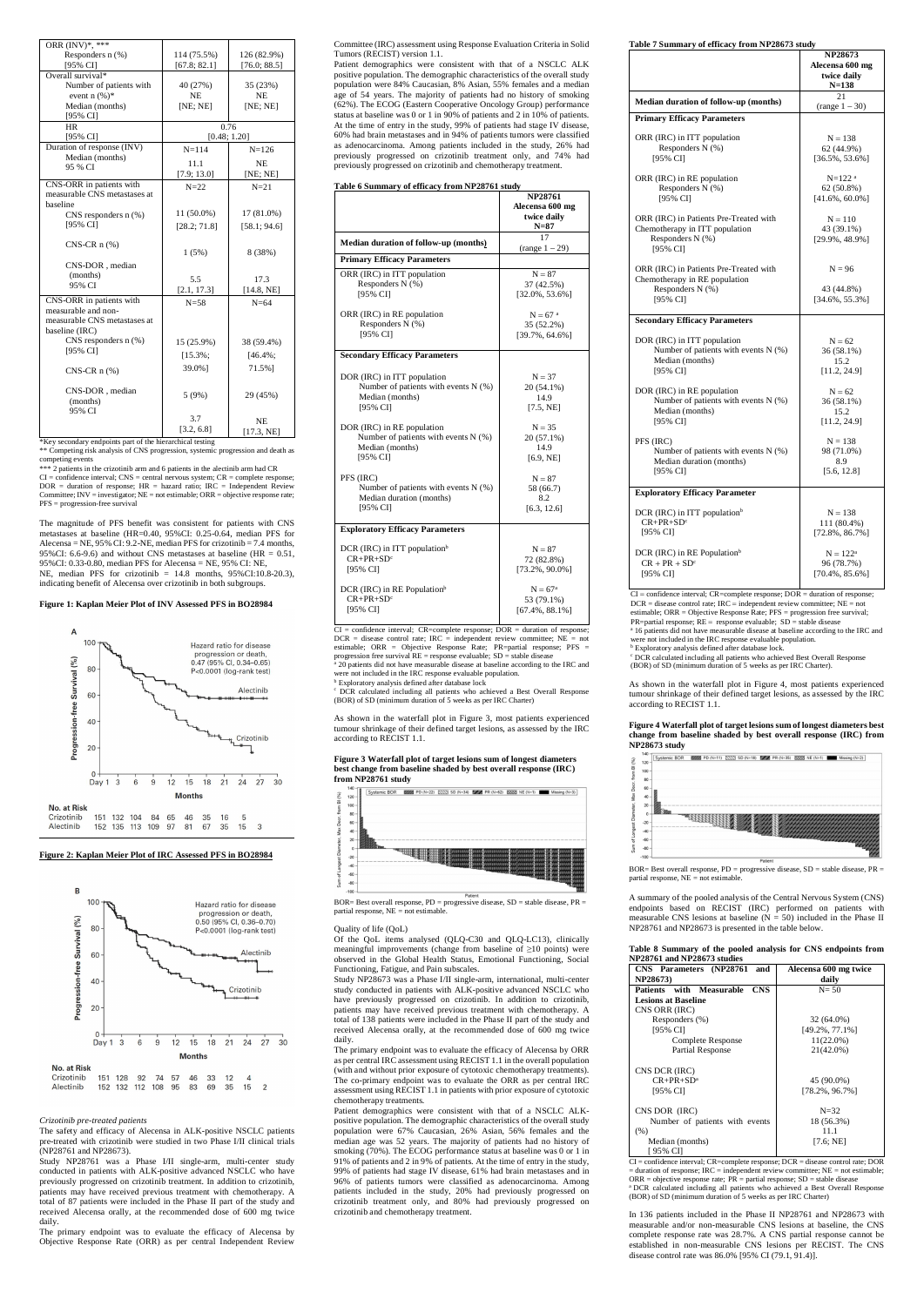| ORR (INV)*, ***              |              |              |
|------------------------------|--------------|--------------|
| Responders $n$ $(\%)$        | 114 (75.5%)  | 126 (82.9%)  |
| [95% CI]                     | [67.8; 82.1] | [76.0; 88.5] |
| Overall survival*            |              |              |
| Number of patients with      | 40 (27%)     | 35 (23%)     |
| event $n$ (%)*               | <b>NE</b>    | <b>NE</b>    |
| Median (months)              | [NE; NE]     | [NE; NE]     |
| [95% CI]                     |              |              |
| <b>HR</b>                    |              | 0.76         |
| [95% CI]                     |              | [0.48; 1.20] |
| Duration of response (INV)   | $N = 114$    | $N = 126$    |
| Median (months)<br>95 % CI   | 11.1         | <b>NE</b>    |
|                              | [7.9; 13.0]  | [NE; NE]     |
| CNS-ORR in patients with     | $N = 22$     | $N=21$       |
| measurable CNS metastases at |              |              |
| baseline                     |              |              |
| CNS responders $n$ (%)       | $11(50.0\%)$ | 17 (81.0%)   |
| [95% CI]                     | [28.2; 71.8] | [58.1; 94.6] |
|                              |              |              |
| $CNS-CR$ n $(\%)$            | 1(5%)        | 8 (38%)      |
| CNS-DOR, median              |              |              |
| (months)                     |              |              |
| 95% CI                       | 5.5          | 17.3         |
|                              | [2.1, 17.3]  | [14.8, NE]   |
| CNS-ORR in patients with     | $N=58$       | $N=64$       |
| measurable and non-          |              |              |
| measurable CNS metastases at |              |              |
| baseline (IRC)               |              |              |
| CNS responders $n$ (%)       | 15 (25.9%)   | 38 (59.4%)   |
| [95% CI]                     | $[15.3\%;$   | $[46.4\%;$   |
| $CNS-CR$ n $(\%)$            | 39.0%]       | 71.5%]       |
|                              |              |              |
| CNS-DOR, median              |              |              |
| (months)                     | 5(9%)        | 29 (45%)     |
| 95% CI                       |              |              |
|                              | 3.7          | <b>NE</b>    |
|                              | [3.2, 6.8]   | [17.3, NE]   |

\*\*\* 2 patients in the crizotinib arm and 6 patients in the alectinib arm had CR  $CI =$  confidence interval;  $CNS =$  central nervous system;  $CR =$  complete response;  $DOR =$  duration of response;  $HR =$  hazard ratio;  $IRC =$  Independent Review Committee;  $INV =$  investigator;  $NE =$  not estimable;  $ORR =$  objective response rate; PFS = progression-free survival

\*Key secondary endpoints part of the hierarchical testing

\*\* Competing risk analysis of CNS progression, systemic progression and death as competing events

The magnitude of PFS benefit was consistent for patients with CNS metastases at baseline (HR=0.40, 95%CI: 0.25-0.64, median PFS for Alecensa = NE,  $95\%$  CI:  $9.2$ -NE, median PFS for crizotinib = 7.4 months, 95%CI: 6.6-9.6) and without CNS metastases at baseline (HR  $= 0.51$ , 95%CI: 0.33-0.80, median PFS for Alecensa = NE, 95% CI: NE, NE, median PFS for crizotinib =  $14.8$  months,  $95\%$ CI:10.8-20.3), indicating benefit of Alecensa over crizotinib in both subgroups.

## **Figure 1: Kaplan Meier Plot of INV Assessed PFS in BO28984**



### **Figure 2: Kaplan Meier Plot of IRC Assessed PFS in BO28984**



#### *Crizotinib pre-treated patients*

The safety and efficacy of Alecensa in ALK-positive NSCLC patients pre-treated with crizotinib were studied in two Phase I/II clinical trials (NP28761 and NP28673).

Study NP28761 was a Phase I/II single-arm, multi-center study conducted in patients with ALK-positive advanced NSCLC who have previously progressed on crizotinib treatment. In addition to crizotinib, patients may have received previous treatment with chemotherapy. A total of 87 patients were included in the Phase II part of the study and received Alecensa orally, at the recommended dose of 600 mg twice daily.

 $CI =$  confidence interval;  $CR =$ complete response;  $DOR =$  duration of response;  $DCR =$  disease control rate;  $IRC =$  independent review committee;  $NE =$  not estimable; ORR = Objective Response Rate; PR=partial response; PFS = progression free survival  $RE$  = response evaluable;  $SD$  = stable disease <sup>a</sup> 20 patients did not have measurable disease at baseline according to the IRC and were not included in the IRC response evaluable population.

**b** Exploratory analysis defined after database lock

The primary endpoint was to evaluate the efficacy of Alecensa by Objective Response Rate (ORR) as per central Independent Review Committee (IRC) assessment using Response Evaluation Criteria in Solid Tumors (RECIST) version 1.1.

BOR= Best overall response,  $PD =$  progressive disease,  $SD =$  stable disease,  $PR =$ partial response, NE = not estimable.

Patient demographics were consistent with that of a NSCLC ALK positive population. The demographic characteristics of the overall study population were 84% Caucasian, 8% Asian, 55% females and a median age of 54 years. The majority of patients had no history of smoking (62%). The ECOG (Eastern Cooperative Oncology Group) performance status at baseline was 0 or 1 in 90% of patients and 2 in 10% of patients. At the time of entry in the study, 99% of patients had stage IV disease, 60% had brain metastases and in 94% of patients tumors were classified as adenocarcinoma. Among patients included in the study, 26% had previously progressed on crizotinib treatment only, and 74% had previously progressed on crizotinib and chemotherapy treatment.

#### **Table 6 Summary of efficacy from NP28761 study**

|                                          | <b>NP28761</b><br>Alecensa 600 mg |
|------------------------------------------|-----------------------------------|
|                                          | twice daily<br>$N=87$             |
| Median duration of follow-up (months)    | 17<br>(range 1 – 29)              |
| <b>Primary Efficacy Parameters</b>       |                                   |
| ORR (IRC) in ITT population              | $N = 87$                          |
| Responders N (%)                         | 37 (42.5%)                        |
| [95% CI]                                 | $[32.0\%, 53.6\%]$                |
| ORR (IRC) in RE population               | $N = 67$ <sup>a</sup>             |
| Responders N (%)                         | 35 (52.2%)                        |
| [95% CI]                                 | [39.7%, 64.6%]                    |
| <b>Secondary Efficacy Parameters</b>     |                                   |
| DOR (IRC) in ITT population              | $N = 37$                          |
| Number of patients with events $N$ (%)   | 20 (54.1%)                        |
| Median (months)                          | 14.9                              |
| [95% CI]                                 | [7.5, NE]                         |
| DOR (IRC) in RE population               | $N = 35$                          |
| Number of patients with events $N$ (%)   | 20 (57.1%)                        |
| Median (months)                          | 14.9                              |
| [95% CI]                                 | [6.9, NE]                         |
| PFS (IRC)                                | $N = 87$                          |
| Number of patients with events N (%)     | 58 (66.7)                         |
| Median duration (months)                 | 8.2                               |
| [95% CI]                                 | [6.3, 12.6]                       |
| <b>Exploratory Efficacy Parameters</b>   |                                   |
| DCR (IRC) in ITT population <sup>b</sup> | $N = 87$                          |
| $CR+PR+SDc$                              | 72 (82.8%)                        |
| [95% CI]                                 | $[73.2\%, 90.0\%]$                |
| DCR (IRC) in RE Population <sup>b</sup>  | $N = 67^{\rm a}$                  |
| $CR + PR + SDc$                          | 53 (79.1%)                        |
| [95% CI]                                 | $[67.4\%, 88.1\%]$                |

**b** Exploratory analysis defined after database lock. c DCR calculated including all patients who achieved Best Overall Response

c DCR calculated including all patients who achieved a Best Overall Response (BOR) of SD (minimum duration of 5 weeks as per IRC Charter)

As shown in the waterfall plot in Figure 3, most patients experienced tumour shrinkage of their defined target lesions, as assessed by the IRC according to RECIST 1.1.

#### **Figure 3 Waterfall plot of target lesions sum of longest diameters best change from baseline shaded by best overall response (IRC) from NP28761 study**



#### Quality of life (QoL)

Of the QoL items analysed (QLQ-C30 and QLQ-LC13), clinically

|  |  | Fable 7 Summary of efficacy from NP28673 study |
|--|--|------------------------------------------------|

meaningful improvements (change from baseline of ≥10 points) were observed in the Global Health Status, Emotional Functioning, Social Functioning, Fatigue, and Pain subscales. Study NP28673 was a Phase I/II single-arm, international, multi-center

study conducted in patients with ALK-positive advanced NSCLC who have previously progressed on crizotinib. In addition to crizotinib, patients may have received previous treatment with chemotherapy. A total of 138 patients were included in the Phase II part of the study and received Alecensa orally, at the recommended dose of 600 mg twice daily.

The primary endpoint was to evaluate the efficacy of Alecensa by ORR as per central IRC assessment using RECIST 1.1 in the overall population (with and without prior exposure of cytotoxic chemotherapy treatments). The co-primary endpoint was to evaluate the ORR as per central IRC assessment using RECIST 1.1 in patients with prior exposure of cytotoxic chemotherapy treatments.

Patient demographics were consistent with that of a NSCLC ALKpositive population. The demographic characteristics of the overall study population were 67% Caucasian, 26% Asian, 56% females and the median age was 52 years. The majority of patients had no history of smoking (70%). The ECOG performance status at baseline was 0 or 1 in 91% of patients and 2 in 9% of patients. At the time of entry in the study, 99% of patients had stage IV disease, 61% had brain metastases and in 96% of patients tumors were classified as adenocarcinoma. Among patients included in the study, 20% had previously progressed on crizotinib treatment only, and 80% had previously progressed on crizotinib and chemotherapy treatment.

| Table 7 Summary of efficacy from NP28673 study                                                           |                                                            |
|----------------------------------------------------------------------------------------------------------|------------------------------------------------------------|
|                                                                                                          | NP28673<br>Alecensa 600 mg                                 |
|                                                                                                          | twice daily                                                |
|                                                                                                          | $N = 138$                                                  |
| Median duration of follow-up (months)                                                                    | 21<br>(range 1 – 30)                                       |
| <b>Primary Efficacy Parameters</b>                                                                       |                                                            |
| ORR (IRC) in ITT population<br>Responders N (%)<br>[95% CI]                                              | $N = 138$<br>62 (44.9%)<br>$[36.5\%, 53.6\%]$              |
| ORR (IRC) in RE population<br>Responders N (%)<br>[95% CI]                                               | $N = 122$ <sup>a</sup><br>62 (50.8%)<br>$[41.6\%, 60.0\%]$ |
| ORR (IRC) in Patients Pre-Treated with<br>Chemotherapy in ITT population<br>Responders N (%)<br>[95% CI] | $N = 110$<br>43 (39.1%)<br>$[29.9\%, 48.9\%]$              |
| ORR (IRC) in Patients Pre-Treated with                                                                   | $N = 96$                                                   |
| Chemotherapy in RE population<br>Responders N (%)<br>[95% CI]                                            | 43 (44.8%)<br>$[34.6\%, 55.3\%]$                           |
| <b>Secondary Efficacy Parameters</b>                                                                     |                                                            |
| DOR (IRC) in ITT population<br>Number of patients with events $N$ (%)<br>Median (months)<br>[95% CI]     | $N = 62$<br>36 (58.1%)<br>15.2<br>[11.2, 24.9]             |
| DOR (IRC) in RE population<br>Number of patients with events $N$ (%)<br>Median (months)<br>[95% CI]      | $N = 62$<br>36 (58.1%)<br>15.2<br>[11.2, 24.9]             |
| PFS (IRC)<br>Number of patients with events $N$ (%)<br>Median duration (months)<br>[95% CI]              | $N = 138$<br>98 (71.0%)<br>8.9<br>[5.6, 12.8]              |
| <b>Exploratory Efficacy Parameter</b>                                                                    |                                                            |
| DCR (IRC) in ITT population <sup>b</sup><br>$CR+PR+SDc$<br>[95% CI]                                      | $N = 138$<br>111 (80.4%)<br>$[72.8\%, 86.7\%]$             |
| DCR (IRC) in RE Population <sup>b</sup><br>$CR + PR + SDc$<br>[95% CI]                                   | $N = 122^a$<br>96 (78.7%)<br>$[70.4\%, 85.6\%]$            |

 $CI = confidence$  interval;  $CR = complete$  response;  $DOR = duration$  of response;  $DCR$  = disease control rate;  $IRC$  = independent review committee;  $NE$  = not estimable; ORR = Objective Response Rate; PFS = progression free survival;  $PR$ =partial response;  $RE$  = response evaluable;  $SD$  = stable disease

<sup>a</sup> 16 patients did not have measurable disease at baseline according to the IRC and

were not included in the IRC response evaluable population.

(BOR) of SD (minimum duration of 5 weeks as per IRC Charter).

As shown in the waterfall plot in Figure 4, most patients experienced tumour shrinkage of their defined target lesions, as assessed by the IRC according to RECIST 1.1.

#### **Figure 4 Waterfall plot of target lesions sum of longest diameters best change from baseline shaded by best overall response (IRC) from NP28673 study**



BOR= Best overall response,  $PD =$  progressive disease,  $SD =$  stable disease,  $PR =$ partial response,  $NE = not$  estimable

A summary of the pooled analysis of the Central Nervous System (CNS) endpoints based on RECIST (IRC) performed on patients with measurable CNS lesions at baseline ( $N = 50$ ) included in the Phase II NP28761 and NP28673 is presented in the table below.

| Table 8 Summary of the pooled analysis for CNS endpoints from |  |  |  |  |
|---------------------------------------------------------------|--|--|--|--|
| NP28761 and NP28673 studies                                   |  |  |  |  |

| CNS Parameters (NP28761 and<br><b>NP28673)</b> | Alecensa 600 mg twice<br>daily |  |  |  |
|------------------------------------------------|--------------------------------|--|--|--|
| Patients with Measurable<br><b>CNS</b>         | $N = 50$                       |  |  |  |
| <b>Lesions at Baseline</b>                     |                                |  |  |  |
| CNS ORR (IRC)                                  |                                |  |  |  |
| Responders (%)                                 | 32 (64.0%)                     |  |  |  |
| [95% CI]                                       | $[49.2\%, 77.1\%]$             |  |  |  |
| Complete Response                              | $11(22.0\%)$                   |  |  |  |
| <b>Partial Response</b>                        | 21(42.0%)                      |  |  |  |
| CNS DCR (IRC)                                  |                                |  |  |  |
| $CR+PR+SDa$                                    | 45 (90.0%)                     |  |  |  |
| [95% CI]                                       | $[78.2\%, 96.7\%]$             |  |  |  |
| CNS DOR (IRC)                                  | $N=32$                         |  |  |  |
| Number of patients with events                 | 18 (56.3%)                     |  |  |  |
| (%)                                            | 11.1                           |  |  |  |
| Median (months)                                | [7.6; NE]                      |  |  |  |
| [ 95% CI]                                      |                                |  |  |  |

CI = confidence interval; CR=complete response; DCR = disease control rate; DOR = duration of response; IRC = independent review committee; NE = not estimable; ORR = objective response rate; PR = partial response; SD = stable disease <sup>a</sup> DCR calculated including all patients who achieved a Best Overall Response (BOR) of SD (minimum duration of 5 weeks as per IRC Charter)

In 136 patients included in the Phase II NP28761 and NP28673 with measurable and/or non-measurable CNS lesions at baseline, the CNS complete response rate was 28.7%. A CNS partial response cannot be established in non-measurable CNS lesions per RECIST. The CNS disease control rate was 86.0% [95% CI (79.1, 91.4)].